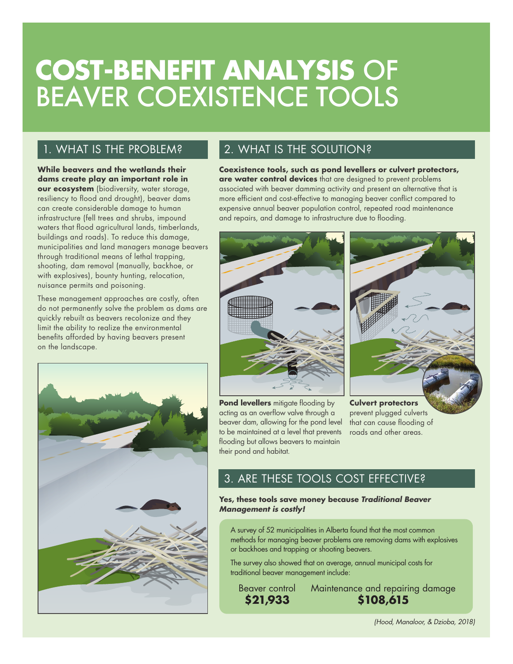# **COST-BENEFIT ANALYSIS** OF BEAVER COEXISTENCE TOOLS

## 1. WHAT IS THE PROBLEM?

**While beavers and the wetlands their dams create play an important role in our ecosystem** (biodiversity, water storage, resiliency to flood and drought), beaver dams can create considerable damage to human infrastructure (fell trees and shrubs, impound waters that flood agricultural lands, timberlands, buildings and roads). To reduce this damage, municipalities and land managers manage beavers through traditional means of lethal trapping, shooting, dam removal (manually, backhoe, or with explosives), bounty hunting, relocation, nuisance permits and poisoning.

These management approaches are costly, often do not permanently solve the problem as dams are quickly rebuilt as beavers recolonize and they limit the ability to realize the environmental benefits afforded by having beavers present on the landscape.



## 2. WHAT IS THE SOLUTION?

**Coexistence tools, such as pond levellers or culvert protectors, are water control devices** that are designed to prevent problems associated with beaver damming activity and present an alternative that is more efficient and cost-effective to managing beaver conflict compared to expensive annual beaver population control, repeated road maintenance and repairs, and damage to infrastructure due to flooding.



**Pond levellers** mitigate flooding by acting as an overflow valve through a beaver dam, allowing for the pond level to be maintained at a level that prevents flooding but allows beavers to maintain their pond and habitat.



**Culvert protectors** prevent plugged culverts that can cause flooding of roads and other areas.

## 3. ARE THESE TOOLS COST EFFECTIVE?

**Yes, these tools save money because** *Traditional Beaver Management is costly!* 

A survey of 52 municipalities in Alberta found that the most common methods for managing beaver problems are removing dams with explosives or backhoes and trapping or shooting beavers.

The survey also showed that on average, annual municipal costs for traditional beaver management include:

Beaver control **\$21,933**

Maintenance and repairing damage **\$108,615**

*(Hood, Manaloor, & Dzioba, 2018)*